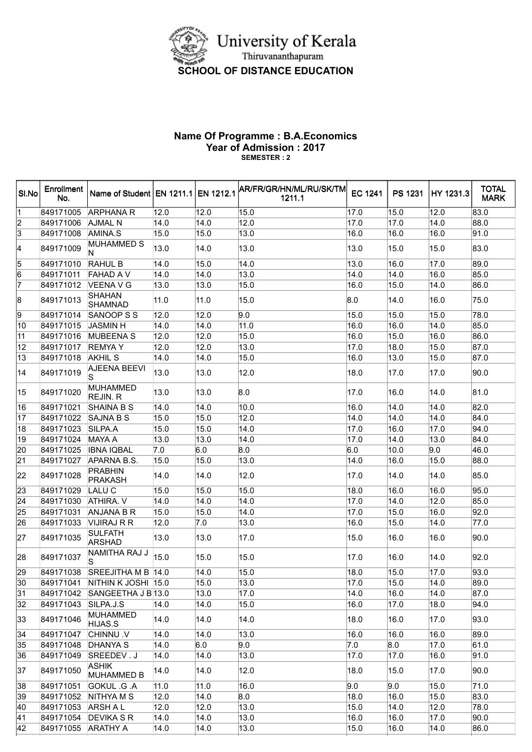

## Name Of Programme : B.A.Economics Year of Admission : 2017 SEMESTER : 2

| SI.No           | Enrollment<br>No. | Name of Student   EN 1211.1   EN 1212.1 |      |      | AR/FR/GR/HN/ML/RU/SK/TM <br>1211.1 | <b>EC 1241</b>    | <b>PS 1231</b> | HY 1231.3         | <b>TOTAL</b><br><b>MARK</b> |
|-----------------|-------------------|-----------------------------------------|------|------|------------------------------------|-------------------|----------------|-------------------|-----------------------------|
| 1               | 849171005         | <b>ARPHANA R</b>                        | 12.0 | 12.0 | 15.0                               | 17.0              | 15.0           | $\overline{1}2.0$ | 83.0                        |
|                 | 849171006         | AJMAL N                                 | 14.0 | 14.0 | 12.0                               | 17.0              | 17.0           | 14.0              | 88.0                        |
| $\frac{2}{3}$   | 849171008         | AMINA.S                                 | 15.0 | 15.0 | 13.0                               | 16.0              | 16.0           | 16.0              | 91.0                        |
| 4               | 849171009         | <b>MUHAMMED S</b><br>N                  | 13.0 | 14.0 | 13.0                               | 13.0              | 15.0           | 15.0              | 83.0                        |
| 5               | 849171010         | <b>RAHUL B</b>                          | 14.0 | 15.0 | 14.0                               | 13.0              | 16.0           | 17.0              | 89.0                        |
| 6               | 849171011         | <b>FAHAD AV</b>                         | 14.0 | 14.0 | 13.0                               | 14.0              | 14.0           | 16.0              | 85.0                        |
| 7               | 849171012         | VEENA V G                               | 13.0 | 13.0 | 15.0                               | 16.0              | 15.0           | 14.0              | 86.0                        |
| 8               | 849171013         | <b>SHAHAN</b><br><b>SHAMNAD</b>         | 11.0 | 11.0 | 15.0                               | 8.0               | 14.0           | 16.0              | 75.0                        |
| 9               | 849171014         | SANOOP S S                              | 12.0 | 12.0 | 9.0                                | 15.0              | 15.0           | 15.0              | 78.0                        |
| 10              | 849171015         | <b>JASMIN H</b>                         | 14.0 | 14.0 | 11.0                               | $\overline{16.0}$ | 16.0           | 14.0              | 85.0                        |
| 11              | 849171016         | <b>MUBEENA S</b>                        | 12.0 | 12.0 | 15.0                               | 16.0              | 15.0           | 16.0              | 86.0                        |
| $\overline{12}$ | 849171017         | <b>REMYAY</b>                           | 12.0 | 12.0 | 13.0                               | 17.0              | 18.0           | 15.0              | 87.0                        |
| 13              | 849171018         | <b>AKHIL S</b>                          | 14.0 | 14.0 | 15.0                               | 16.0              | 13.0           | 15.0              | 87.0                        |
| 14              | 849171019         | <b>AJEENA BEEVI</b><br>S                | 13.0 | 13.0 | 12.0                               | 18.0              | 17.0           | 17.0              | 90.0                        |
| 15              | 849171020         | <b>MUHAMMED</b><br>REJIN. R             | 13.0 | 13.0 | 8.0                                | 17.0              | 16.0           | 14.0              | 81.0                        |
| 16              | 849171021         | <b>SHAINA B S</b>                       | 14.0 | 14.0 | 10.0                               | 16.0              | 14.0           | 14.0              | 82.0                        |
| 17              | 849171022         | <b>SAJNA B S</b>                        | 15.0 | 15.0 | 12.0                               | 14.0              | 14.0           | 14.0              | 84.0                        |
| 18              | 849171023         | SILPA.A                                 | 15.0 | 15.0 | 14.0                               | 17.0              | 16.0           | 17.0              | 94.0                        |
| 19              | 849171024         | <b>MAYA A</b>                           | 13.0 | 13.0 | 14.0                               | 17.0              | 14.0           | 13.0              | 84.0                        |
| 20              | 849171025         | <b>IBNA IQBAL</b>                       | 7.0  | 6.0  | 8.0                                | 6.0               | 10.0           | 9.0               | 46.0                        |
| $\overline{21}$ | 849171027         | APARNA B.S.                             | 15.0 | 15.0 | 13.0                               | 14.0              | 16.0           | 15.0              | 88.0                        |
| 22              | 849171028         | <b>PRABHIN</b><br><b>PRAKASH</b>        | 14.0 | 14.0 | 12.0                               | 17.0              | 14.0           | 14.0              | 85.0                        |
| 23              | 849171029         | LALU C                                  | 15.0 | 15.0 | 15.0                               | 18.0              | 16.0           | 16.0              | 95.0                        |
| $\overline{24}$ | 849171030         | <b>ATHIRA. V</b>                        | 14.0 | 14.0 | 14.0                               | 17.0              | 14.0           | 12.0              | 85.0                        |
| 25              | 849171031         | ANJANA B R                              | 15.0 | 15.0 | 14.0                               | 17.0              | 15.0           | 16.0              | 92.0                        |
| 26              | 849171033         | VIJIRAJ R R                             | 12.0 | 7.0  | 13.0                               | 16.0              | 15.0           | 14.0              | 77.0                        |
| 27              | 849171035         | <b>SULFATH</b><br><b>ARSHAD</b>         | 13.0 | 13.0 | 17.0                               | 15.0              | 16.0           | 16.0              | 90.0                        |
| 28              | 849171037         | NAMITHA RAJ J<br>S                      | 15.0 | 15.0 | 15.0                               | 17.0              | 16.0           | 14.0              | 92.0                        |
| 29              | 849171038         | SREEJITHA M B  14.0                     |      | 14.0 | 15.0                               | 18.0              | 15.0           | 17.0              | 93.0                        |
| 30              | 849171041         | NITHIN K JOSHI 15.0                     |      | 15.0 | 13.0                               | 17.0              | 15.0           | 14.0              | 89.0                        |
| 31              | 849171042         | SANGEETHA J B 13.0                      |      | 13.0 | 17.0                               | 14.0              | 16.0           | 14.0              | 87.0                        |
| $\overline{32}$ | 849171043         | SILPA.J.S                               | 14.0 | 14.0 | 15.0                               | 16.0              | 17.0           | 18.0              | 94.0                        |
| 33              | 849171046         | <b>MUHAMMED</b><br>HIJAS.S              | 14.0 | 14.0 | 14.0                               | 18.0              | 16.0           | 17.0              | 93.0                        |
| 34              | 849171047         | <b>CHINNU.V</b>                         | 14.0 | 14.0 | 13.0                               | 16.0              | 16.0           | 16.0              | 89.0                        |
| 35              | 849171048         | DHANYA S                                | 14.0 | 6.0  | 9.0                                | 7.0               | 8.0            | 17.0              | 61.0                        |
| 36              | 849171049         | SREEDEV.J                               | 14.0 | 14.0 | 13.0                               | 17.0              | 17.0           | 16.0              | 91.0                        |
| 37              | 849171050         | ASHIK<br><b>MUHAMMED B</b>              | 14.0 | 14.0 | 12.0                               | 18.0              | 15.0           | 17.0              | 90.0                        |
| 38              | 849171051         | GOKUL .G .A                             | 11.0 | 11.0 | 16.0                               | 9.0               | 9.0            | 15.0              | 71.0                        |
| 39              | 849171052         | NITHYA M S                              | 12.0 | 14.0 | 8.0                                | 18.0              | 16.0           | 15.0              | 83.0                        |
| 40              | 849171053         | <b>ARSH AL</b>                          | 12.0 | 12.0 | 13.0                               | 15.0              | 14.0           | 12.0              | 78.0                        |
| 41              | 849171054         | <b>DEVIKA S R</b>                       | 14.0 | 14.0 | 13.0                               | 16.0              | 16.0           | 17.0              | 90.0                        |
| 42              | 849171055         | <b>ARATHY A</b>                         | 14.0 | 14.0 | 13.0                               | 15.0              | 16.0           | 14.0              | 86.0                        |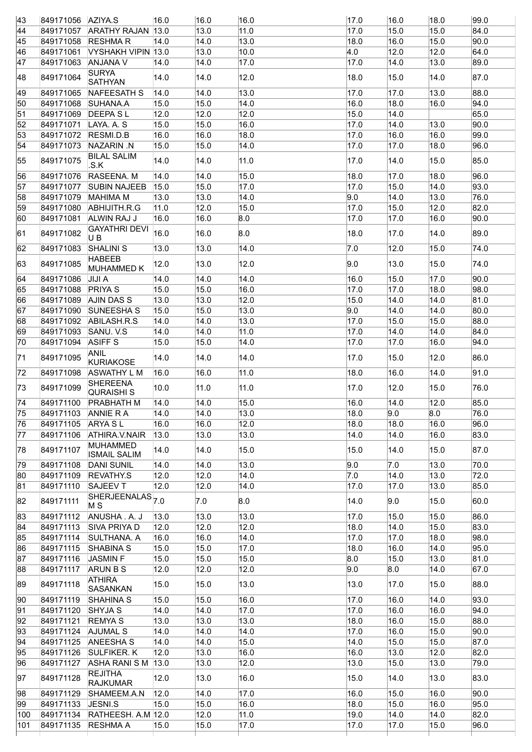|                        |                                                               | 16.0                                                                                                                                                                                                                                                                                            |                                                                                                                                           |                                                                                                                                                                                                                                                                                                                                          | 17.0                                                      |                                                                                                                         |                                                                           | 99.0                                                                          |
|------------------------|---------------------------------------------------------------|-------------------------------------------------------------------------------------------------------------------------------------------------------------------------------------------------------------------------------------------------------------------------------------------------|-------------------------------------------------------------------------------------------------------------------------------------------|------------------------------------------------------------------------------------------------------------------------------------------------------------------------------------------------------------------------------------------------------------------------------------------------------------------------------------------|-----------------------------------------------------------|-------------------------------------------------------------------------------------------------------------------------|---------------------------------------------------------------------------|-------------------------------------------------------------------------------|
|                        |                                                               |                                                                                                                                                                                                                                                                                                 |                                                                                                                                           | 11.0                                                                                                                                                                                                                                                                                                                                     | 17.0                                                      | 15.0                                                                                                                    | 15.0                                                                      | 84.0                                                                          |
|                        |                                                               | 14.0                                                                                                                                                                                                                                                                                            |                                                                                                                                           | 13.0                                                                                                                                                                                                                                                                                                                                     | 18.0                                                      | 16.0                                                                                                                    | 15.0                                                                      | 90.0                                                                          |
| 849171061              |                                                               |                                                                                                                                                                                                                                                                                                 |                                                                                                                                           | 10.0                                                                                                                                                                                                                                                                                                                                     |                                                           | 12.0                                                                                                                    | 12.0                                                                      | 64.0                                                                          |
|                        |                                                               | 14.0                                                                                                                                                                                                                                                                                            |                                                                                                                                           | 17.0                                                                                                                                                                                                                                                                                                                                     | 17.0                                                      | 14.0                                                                                                                    | 13.0                                                                      | 89.0                                                                          |
| 849171064              | <b>SURYA</b><br><b>SATHYAN</b>                                | 14.0                                                                                                                                                                                                                                                                                            |                                                                                                                                           | 12.0                                                                                                                                                                                                                                                                                                                                     | 18.0                                                      | 15.0                                                                                                                    | 14.0                                                                      | 87.0                                                                          |
| 849171065              | NAFEESATH S                                                   | 14.0                                                                                                                                                                                                                                                                                            |                                                                                                                                           | 13.0                                                                                                                                                                                                                                                                                                                                     | 17.0                                                      | 17.0                                                                                                                    | 13.0                                                                      | 88.0                                                                          |
| 849171068              | SUHANA.A                                                      | 15.0                                                                                                                                                                                                                                                                                            | 15.0                                                                                                                                      | 14.0                                                                                                                                                                                                                                                                                                                                     | 16.0                                                      | 18.0                                                                                                                    | 16.0                                                                      | 94.0                                                                          |
| 849171069              | <b>DEEPA SL</b>                                               | 12.0                                                                                                                                                                                                                                                                                            | 12.0                                                                                                                                      | 12.0                                                                                                                                                                                                                                                                                                                                     | 15.0                                                      | 14.0                                                                                                                    |                                                                           | 65.0                                                                          |
| 849171071              | LAYA. A. S                                                    | 15.0                                                                                                                                                                                                                                                                                            | 15.0                                                                                                                                      | 16.0                                                                                                                                                                                                                                                                                                                                     | 17.0                                                      | 14.0                                                                                                                    | 13.0                                                                      | 90.0                                                                          |
| 849171072              | RESMI.D.B                                                     | 16.0                                                                                                                                                                                                                                                                                            |                                                                                                                                           | 18.0                                                                                                                                                                                                                                                                                                                                     | 17.0                                                      | 16.0                                                                                                                    | 16.0                                                                      | 99.0                                                                          |
| 849171073              | NAZARIN N                                                     | 15.0                                                                                                                                                                                                                                                                                            |                                                                                                                                           | 14.0                                                                                                                                                                                                                                                                                                                                     | 17.0                                                      | 17.0                                                                                                                    | 18.0                                                                      | 96.0                                                                          |
| 849171075              | <b>BILAL SALIM</b><br>.S.K                                    | 14.0                                                                                                                                                                                                                                                                                            |                                                                                                                                           | 11.0                                                                                                                                                                                                                                                                                                                                     | 17.0                                                      | 14.0                                                                                                                    | 15.0                                                                      | 85.0                                                                          |
| 849171076              | RASEENA. M                                                    | 14.0                                                                                                                                                                                                                                                                                            |                                                                                                                                           | 15.0                                                                                                                                                                                                                                                                                                                                     | 18.0                                                      | 17.0                                                                                                                    | 18.0                                                                      | 96.0                                                                          |
| 849171077              | <b>SUBIN NAJEEB</b>                                           |                                                                                                                                                                                                                                                                                                 |                                                                                                                                           | 17.0                                                                                                                                                                                                                                                                                                                                     | 17.0                                                      | 15.0                                                                                                                    | 14.0                                                                      | 93.0                                                                          |
| 849171079              | <b>MAHIMA M</b>                                               | 13.0                                                                                                                                                                                                                                                                                            |                                                                                                                                           | 14.0                                                                                                                                                                                                                                                                                                                                     |                                                           | 14.0                                                                                                                    | 13.0                                                                      | 76.0                                                                          |
| 849171080              | ABHIJITH.R.G                                                  | 11.0                                                                                                                                                                                                                                                                                            | 12.0                                                                                                                                      | 15.0                                                                                                                                                                                                                                                                                                                                     | 17.0                                                      | 15.0                                                                                                                    | 12.0                                                                      | 82.0                                                                          |
| 849171081              | ALWIN RAJ J                                                   | 16.0                                                                                                                                                                                                                                                                                            | 16.0                                                                                                                                      |                                                                                                                                                                                                                                                                                                                                          | 17.0                                                      | 17.0                                                                                                                    | 16.0                                                                      | 90.0                                                                          |
| 849171082              | <b>GAYATHRI DEVI</b><br>U B                                   | 16.0                                                                                                                                                                                                                                                                                            |                                                                                                                                           |                                                                                                                                                                                                                                                                                                                                          | 18.0                                                      | 17.0                                                                                                                    | 14.0                                                                      | 89.0                                                                          |
| 849171083              | <b>SHALINI S</b>                                              | 13.0                                                                                                                                                                                                                                                                                            |                                                                                                                                           | 14.0                                                                                                                                                                                                                                                                                                                                     |                                                           | 12.0                                                                                                                    | 15.0                                                                      | 74.0                                                                          |
| 849171085              | <b>HABEEB</b>                                                 | 12.0                                                                                                                                                                                                                                                                                            |                                                                                                                                           | 12.0                                                                                                                                                                                                                                                                                                                                     |                                                           | 13.0                                                                                                                    | 15.0                                                                      | 74.0                                                                          |
|                        |                                                               |                                                                                                                                                                                                                                                                                                 |                                                                                                                                           |                                                                                                                                                                                                                                                                                                                                          |                                                           |                                                                                                                         |                                                                           | 90.0                                                                          |
|                        |                                                               |                                                                                                                                                                                                                                                                                                 |                                                                                                                                           | 16.0                                                                                                                                                                                                                                                                                                                                     |                                                           |                                                                                                                         |                                                                           | 98.0                                                                          |
| 849171089              |                                                               | 13.0                                                                                                                                                                                                                                                                                            |                                                                                                                                           | 12.0                                                                                                                                                                                                                                                                                                                                     |                                                           | 14.0                                                                                                                    | 14.0                                                                      | 81.0                                                                          |
|                        |                                                               |                                                                                                                                                                                                                                                                                                 |                                                                                                                                           |                                                                                                                                                                                                                                                                                                                                          |                                                           |                                                                                                                         |                                                                           | 80.0                                                                          |
|                        |                                                               |                                                                                                                                                                                                                                                                                                 |                                                                                                                                           |                                                                                                                                                                                                                                                                                                                                          |                                                           |                                                                                                                         |                                                                           | 88.0                                                                          |
| 849171093              | SANU. V.S                                                     | 14.0                                                                                                                                                                                                                                                                                            |                                                                                                                                           | 11.0                                                                                                                                                                                                                                                                                                                                     | 17.0                                                      | 14.0                                                                                                                    | 14.0                                                                      | 84.0                                                                          |
|                        |                                                               |                                                                                                                                                                                                                                                                                                 |                                                                                                                                           |                                                                                                                                                                                                                                                                                                                                          |                                                           |                                                                                                                         |                                                                           | 94.0                                                                          |
| 849171095              | ANIL                                                          | 14.0                                                                                                                                                                                                                                                                                            | 14.0                                                                                                                                      | 14.0                                                                                                                                                                                                                                                                                                                                     | 17.0                                                      | 15.0                                                                                                                    | 12.0                                                                      | 86.0                                                                          |
|                        |                                                               | 16.0                                                                                                                                                                                                                                                                                            |                                                                                                                                           | 11.0                                                                                                                                                                                                                                                                                                                                     | 18.0                                                      | 16.0                                                                                                                    | 14.0                                                                      | 91.0                                                                          |
| 849171099              | <b>SHEREENA</b><br><b>QURAISHI S</b>                          | 10.0                                                                                                                                                                                                                                                                                            |                                                                                                                                           | 11.0                                                                                                                                                                                                                                                                                                                                     | 17.0                                                      | 12.0                                                                                                                    | 15.0                                                                      | 76.0                                                                          |
| 849171100              | <b>PRABHATH M</b>                                             | 14.0                                                                                                                                                                                                                                                                                            |                                                                                                                                           | 15.0                                                                                                                                                                                                                                                                                                                                     | 16.0                                                      | 14.0                                                                                                                    | 12.0                                                                      | 85.0                                                                          |
|                        |                                                               | 14.0                                                                                                                                                                                                                                                                                            |                                                                                                                                           | 13.0                                                                                                                                                                                                                                                                                                                                     | 18.0                                                      |                                                                                                                         |                                                                           | 76.0                                                                          |
|                        |                                                               | 16.0                                                                                                                                                                                                                                                                                            |                                                                                                                                           | 12.0                                                                                                                                                                                                                                                                                                                                     | 18.0                                                      | 18.0                                                                                                                    |                                                                           | 96.0                                                                          |
| 849171106              | ATHIRA.V.NAIR                                                 | 13.0                                                                                                                                                                                                                                                                                            |                                                                                                                                           | 13.0                                                                                                                                                                                                                                                                                                                                     | 14.0                                                      | 14.0                                                                                                                    | 16.0                                                                      | 83.0                                                                          |
| 849171107              | <b>MUHAMMED</b>                                               | 14.0                                                                                                                                                                                                                                                                                            |                                                                                                                                           | 15.0                                                                                                                                                                                                                                                                                                                                     | 15.0                                                      | 14.0                                                                                                                    | 15.0                                                                      | 87.0                                                                          |
| 849171108              | <b>DANI SUNIL</b>                                             | 14.0                                                                                                                                                                                                                                                                                            |                                                                                                                                           | 13.0                                                                                                                                                                                                                                                                                                                                     |                                                           |                                                                                                                         | 13.0                                                                      | 70.0                                                                          |
| 849171109              | <b>REVATHY.S</b>                                              | 12.0                                                                                                                                                                                                                                                                                            |                                                                                                                                           | 14.0                                                                                                                                                                                                                                                                                                                                     | $\overline{7.0}$                                          | 14.0                                                                                                                    | 13.0                                                                      | 72.0                                                                          |
| 849171110              | <b>SAJEEV T</b>                                               | 12.0                                                                                                                                                                                                                                                                                            | 12.0                                                                                                                                      | 14.0                                                                                                                                                                                                                                                                                                                                     | 17.0                                                      | 17.0                                                                                                                    | 13.0                                                                      | 85.0                                                                          |
| 849171111              | M <sub>S</sub>                                                |                                                                                                                                                                                                                                                                                                 |                                                                                                                                           |                                                                                                                                                                                                                                                                                                                                          | 14.0                                                      |                                                                                                                         | 15.0                                                                      | 60.0                                                                          |
| 849171112              | ANUSHA . A. J                                                 | 13.0                                                                                                                                                                                                                                                                                            |                                                                                                                                           | 13.0                                                                                                                                                                                                                                                                                                                                     | 17.0                                                      | 15.0                                                                                                                    | 15.0                                                                      | 86.0                                                                          |
| 849171113              | SIVA PRIYA D                                                  | 12.0                                                                                                                                                                                                                                                                                            |                                                                                                                                           | 12.0                                                                                                                                                                                                                                                                                                                                     | 18.0                                                      | 14.0                                                                                                                    |                                                                           | 83.0                                                                          |
| 849171114              | SULTHANA. A                                                   | 16.0                                                                                                                                                                                                                                                                                            |                                                                                                                                           | 14.0                                                                                                                                                                                                                                                                                                                                     | 17.0                                                      | 17.0                                                                                                                    |                                                                           | 98.0                                                                          |
| 849171115              | <b>SHABINA S</b>                                              | 15.0                                                                                                                                                                                                                                                                                            |                                                                                                                                           | 17.0                                                                                                                                                                                                                                                                                                                                     | 18.0                                                      | 16.0                                                                                                                    | 14.0                                                                      | 95.0                                                                          |
| 849171116              | <b>JASMIN F</b>                                               | 15.0                                                                                                                                                                                                                                                                                            |                                                                                                                                           | 15.0                                                                                                                                                                                                                                                                                                                                     |                                                           | 15.0                                                                                                                    | 13.0                                                                      | 81.0                                                                          |
| 849171117              | <b>ARUN B S</b>                                               | 12.0                                                                                                                                                                                                                                                                                            | 12.0                                                                                                                                      | 12.0                                                                                                                                                                                                                                                                                                                                     |                                                           |                                                                                                                         | 14.0                                                                      | 67.0                                                                          |
| 849171118              | <b>ATHIRA</b><br><b>SASANKAN</b>                              | 15.0                                                                                                                                                                                                                                                                                            | 15.0                                                                                                                                      | 13.0                                                                                                                                                                                                                                                                                                                                     | 13.0                                                      | 17.0                                                                                                                    | 15.0                                                                      | 88.0                                                                          |
| 849171119              | <b>SHAHINA S</b>                                              | 15.0                                                                                                                                                                                                                                                                                            |                                                                                                                                           | 16.0                                                                                                                                                                                                                                                                                                                                     | 17.0                                                      | 16.0                                                                                                                    | 14.0                                                                      | 93.0                                                                          |
| 849171120              | <b>SHYJA S</b>                                                | 14.0                                                                                                                                                                                                                                                                                            | 14.0                                                                                                                                      | 17.0                                                                                                                                                                                                                                                                                                                                     | 17.0                                                      | 16.0                                                                                                                    | 16.0                                                                      | 94.0                                                                          |
|                        |                                                               | 13.0                                                                                                                                                                                                                                                                                            | 13.0                                                                                                                                      | 13.0                                                                                                                                                                                                                                                                                                                                     | 18.0                                                      | 16.0                                                                                                                    | 15.0                                                                      | 88.0                                                                          |
| 849171121              | <b>REMYAS</b>                                                 |                                                                                                                                                                                                                                                                                                 |                                                                                                                                           |                                                                                                                                                                                                                                                                                                                                          |                                                           |                                                                                                                         | 15.0                                                                      | 90.0                                                                          |
| 849171124              | <b>AJUMAL S</b>                                               | 14.0                                                                                                                                                                                                                                                                                            | 14.0                                                                                                                                      | 14.0                                                                                                                                                                                                                                                                                                                                     | 17.0                                                      | 16.0                                                                                                                    |                                                                           |                                                                               |
| 849171125              | <b>ANEESHAS</b>                                               | 14.0                                                                                                                                                                                                                                                                                            | 14.0                                                                                                                                      | 15.0                                                                                                                                                                                                                                                                                                                                     | 14.0                                                      | 15.0                                                                                                                    | 15.0                                                                      | 87.0                                                                          |
| 849171126              | <b>SULFIKER. K</b>                                            | 12.0                                                                                                                                                                                                                                                                                            | 13.0                                                                                                                                      | 16.0                                                                                                                                                                                                                                                                                                                                     | 16.0                                                      | 13.0                                                                                                                    | 12.0                                                                      | 82.0                                                                          |
| 849171127              | ASHA RANI S M                                                 | 13.0                                                                                                                                                                                                                                                                                            | 13.0                                                                                                                                      | 12.0                                                                                                                                                                                                                                                                                                                                     | 13.0                                                      | 15.0                                                                                                                    | 13.0                                                                      | 79.0                                                                          |
| 849171128              | <b>REJITHA</b>                                                | 12.0                                                                                                                                                                                                                                                                                            | 13.0                                                                                                                                      | 16.0                                                                                                                                                                                                                                                                                                                                     | 15.0                                                      | 14.0                                                                                                                    | 13.0                                                                      | 83.0                                                                          |
|                        | <b>RAJKUMAR</b>                                               |                                                                                                                                                                                                                                                                                                 |                                                                                                                                           |                                                                                                                                                                                                                                                                                                                                          |                                                           |                                                                                                                         |                                                                           |                                                                               |
| 849171129              | SHAMEEM.A.N                                                   | 12.0                                                                                                                                                                                                                                                                                            | 14.0                                                                                                                                      | 17.0                                                                                                                                                                                                                                                                                                                                     | 16.0                                                      | 15.0                                                                                                                    | 16.0                                                                      | 90.0                                                                          |
| 849171133<br>849171134 | JESNI.S<br>RATHEESH. A.M 12.0                                 | 15.0                                                                                                                                                                                                                                                                                            | 15.0<br>12.0                                                                                                                              | 16.0<br>11.0                                                                                                                                                                                                                                                                                                                             | 18.0<br>19.0                                              | 15.0<br> 14.0                                                                                                           | 16.0<br>14.0                                                              | 95.0 <br>82.0                                                                 |
|                        | 849171086<br>849171088<br>849171090<br>849171092<br>849171094 | 849171056 AZIYA.S<br>849171058 RESHMAR<br>849171063 ANJANA V<br><b>MUHAMMED K</b><br>JIJI A<br><b>PRIYA S</b><br>AJIN DAS S<br><b>SUNEESHAS</b><br>ABILASH.R.S<br><b>ASIFFS</b><br><b>KURIAKOSE</b><br>849171098 ASWATHY L M<br>849171103 ANNIE R A<br>849171105 ARYA SL<br><b>ISMAIL SALIM</b> | 849171057 ARATHY RAJAN 13.0<br>VYSHAKH VIPIN 13.0<br>15.0<br>14.0<br>15.0<br>15.0<br>14.0<br>15.0<br>$\overline{\text{SHERJEENALAS}}$ 7.0 | 16.0<br>13.0<br> 14.0 <br>13.0<br> 14.0 <br> 14.0 <br>14.0<br>16.0<br>15.0<br> 14.0 <br>14.0<br>15.0<br>13.0<br>16.0<br>13.0<br> 13.0 <br> 14.0<br>15.0<br> 13.0 <br>15.0<br>14.0<br>14.0<br>15.0<br>16.0<br> 11.0<br> 14.0<br> 14.0 <br>16.0<br> 13.0 <br>14.0<br>14.0<br>12.0<br>7.0<br> 13.0 <br>12.0<br>16.0<br>15.0<br>15.0<br>15.0 | 16.0<br>8.0<br>8.0<br>14.0<br>13.0<br>13.0<br>14.0<br>8.0 | $\vert 4.0 \vert$<br>9.0<br>$\overline{7.0}$<br>9.0<br>16.0<br>17.0<br>15.0<br>9.0<br>17.0<br>17.0<br>9.0<br>8.0<br>9.0 | 16.0<br>15.0<br>17.0<br> 14.0<br>15.0<br>17.0<br>9.0<br>7.0<br>9.0<br>8.0 | 18.0<br>17.0<br> 18.0 <br>14.0<br>15.0<br>16.0<br>8.0<br>16.0<br>15.0<br>18.0 |